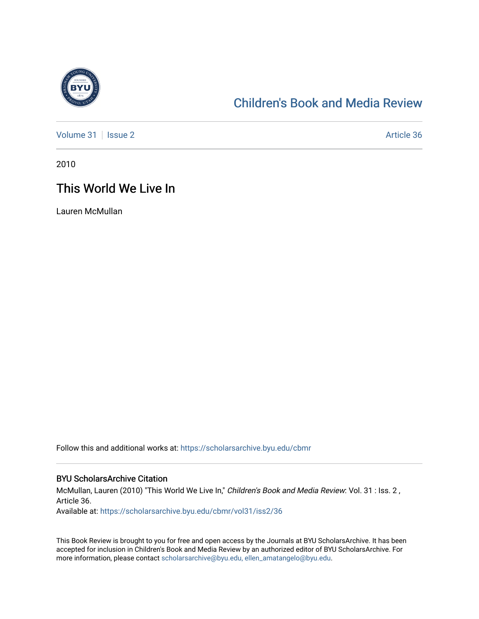

## [Children's Book and Media Review](https://scholarsarchive.byu.edu/cbmr)

[Volume 31](https://scholarsarchive.byu.edu/cbmr/vol31) | [Issue 2](https://scholarsarchive.byu.edu/cbmr/vol31/iss2) Article 36

2010

## This World We Live In

Lauren McMullan

Follow this and additional works at: [https://scholarsarchive.byu.edu/cbmr](https://scholarsarchive.byu.edu/cbmr?utm_source=scholarsarchive.byu.edu%2Fcbmr%2Fvol31%2Fiss2%2F36&utm_medium=PDF&utm_campaign=PDFCoverPages) 

## BYU ScholarsArchive Citation

McMullan, Lauren (2010) "This World We Live In," Children's Book and Media Review: Vol. 31 : Iss. 2, Article 36. Available at: [https://scholarsarchive.byu.edu/cbmr/vol31/iss2/36](https://scholarsarchive.byu.edu/cbmr/vol31/iss2/36?utm_source=scholarsarchive.byu.edu%2Fcbmr%2Fvol31%2Fiss2%2F36&utm_medium=PDF&utm_campaign=PDFCoverPages)

This Book Review is brought to you for free and open access by the Journals at BYU ScholarsArchive. It has been accepted for inclusion in Children's Book and Media Review by an authorized editor of BYU ScholarsArchive. For more information, please contact [scholarsarchive@byu.edu, ellen\\_amatangelo@byu.edu.](mailto:scholarsarchive@byu.edu,%20ellen_amatangelo@byu.edu)